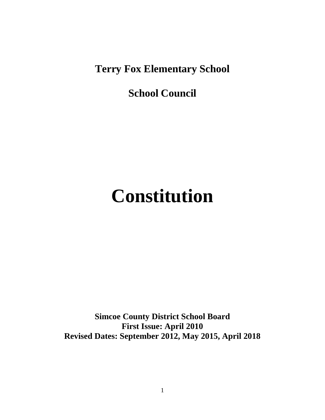**Terry Fox Elementary School**

**School Council**

# **Constitution**

**Simcoe County District School Board First Issue: April 2010 Revised Dates: September 2012, May 2015, April 2018**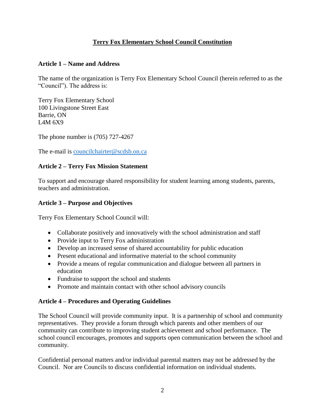## **Terry Fox Elementary School Council Constitution**

#### **Article 1 – Name and Address**

The name of the organization is Terry Fox Elementary School Council (herein referred to as the "Council"). The address is:

Terry Fox Elementary School 100 Livingstone Street East Barrie, ON L4M 6X9

The phone number is (705) 727-4267

The e-mail is [councilchairter@scdsb.on.ca](mailto:councilchairter@scdsb.on.ca)

#### **Article 2 – Terry Fox Mission Statement**

To support and encourage shared responsibility for student learning among students, parents, teachers and administration.

#### **Article 3 – Purpose and Objectives**

Terry Fox Elementary School Council will:

- Collaborate positively and innovatively with the school administration and staff
- Provide input to Terry Fox administration
- Develop an increased sense of shared accountability for public education
- Present educational and informative material to the school community
- Provide a means of regular communication and dialogue between all partners in education
- Fundraise to support the school and students
- Promote and maintain contact with other school advisory councils

#### **Article 4 – Procedures and Operating Guidelines**

The School Council will provide community input. It is a partnership of school and community representatives. They provide a forum through which parents and other members of our community can contribute to improving student achievement and school performance. The school council encourages, promotes and supports open communication between the school and community.

Confidential personal matters and/or individual parental matters may not be addressed by the Council. Nor are Councils to discuss confidential information on individual students.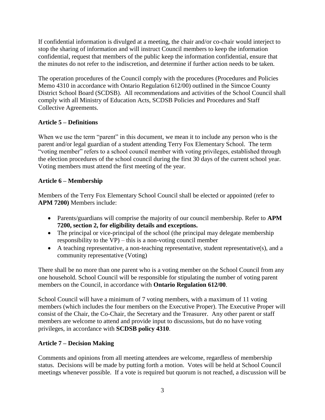If confidential information is divulged at a meeting, the chair and/or co-chair would interject to stop the sharing of information and will instruct Council members to keep the information confidential, request that members of the public keep the information confidential, ensure that the minutes do not refer to the indiscretion, and determine if further action needs to be taken.

The operation procedures of the Council comply with the procedures (Procedures and Policies Memo 4310 in accordance with Ontario Regulation 612/00) outlined in the Simcoe County District School Board (SCDSB). All recommendations and activities of the School Council shall comply with all Ministry of Education Acts, SCDSB Policies and Procedures and Staff Collective Agreements.

# **Article 5 – Definitions**

When we use the term "parent" in this document, we mean it to include any person who is the parent and/or legal guardian of a student attending Terry Fox Elementary School. The term "voting member" refers to a school council member with voting privileges, established through the election procedures of the school council during the first 30 days of the current school year. Voting members must attend the first meeting of the year.

# **Article 6 – Membership**

Members of the Terry Fox Elementary School Council shall be elected or appointed (refer to **APM 7200)** Members include:

- Parents/guardians will comprise the majority of our council membership. Refer to **APM 7200, section 2, for eligibility details and exceptions.**
- The principal or vice-principal of the school (the principal may delegate membership responsibility to the VP) – this is a non-voting council member
- A teaching representative, a non-teaching representative, student representative(s), and a community representative (Voting)

There shall be no more than one parent who is a voting member on the School Council from any one household. School Council will be responsible for stipulating the number of voting parent members on the Council, in accordance with **Ontario Regulation 612/00**.

School Council will have a minimum of 7 voting members, with a maximum of 11 voting members (which includes the four members on the Executive Proper). The Executive Proper will consist of the Chair, the Co-Chair, the Secretary and the Treasurer. Any other parent or staff members are welcome to attend and provide input to discussions, but do no have voting privileges, in accordance with **SCDSB policy 4310**.

## **Article 7 – Decision Making**

Comments and opinions from all meeting attendees are welcome, regardless of membership status. Decisions will be made by putting forth a motion. Votes will be held at School Council meetings whenever possible. If a vote is required but quorum is not reached, a discussion will be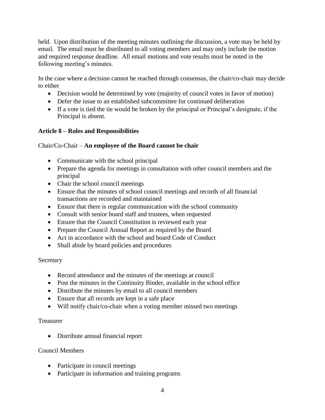held. Upon distribution of the meeting minutes outlining the discussion, a vote may be held by email. The email must be distributed to all voting members and may only include the motion and required response deadline. All email motions and vote results must be noted in the following meeting's minutes.

In the case where a decision cannot be reached through consensus, the chair/co-chair may decide to either

- Decision would be determined by vote (majority of council votes in favor of motion)
- Defer the issue to an established subcommittee for continued deliberation
- If a vote is tied the tie would be broken by the principal or Principal's designate, if the Principal is absent.

## **Article 8 – Roles and Responsibilities**

## Chair/Co-Chair – **An employee of the Board cannot be chair**

- Communicate with the school principal
- Prepare the agenda for meetings in consultation with other council members and the principal
- Chair the school council meetings
- Ensure that the minutes of school council meetings and records of all financial transactions are recorded and maintained
- Ensure that there is regular communication with the school community
- Consult with senior board staff and trustees, when requested
- Ensure that the Council Constitution is reviewed each year
- Prepare the Council Annual Report as required by the Board
- Act in accordance with the school and board Code of Conduct
- Shall abide by board policies and procedures

## Secretary

- Record attendance and the minutes of the meetings at council
- Post the minutes in the Continuity Binder, available in the school office
- Distribute the minutes by email to all council members
- Ensure that all records are kept in a safe place
- Will notify chair/co-chair when a voting member missed two meetings

## Treasurer

Distribute annual financial report

## Council Members

- Participate in council meetings
- Participate in information and training programs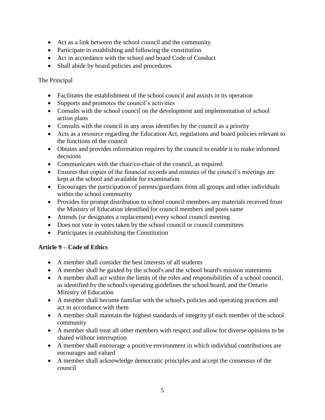- Act as a link between the school council and the community
- Participate in establishing and following the constitution
- Act in accordance with the school and board Code of Conduct
- Shall abide by board policies and procedures

#### The Principal

- Facilitates the establishment of the school council and assists in its operation
- Supports and promotes the council's activities
- Consults with the school council on the development and implementation of school action plans
- Consults with the council in any areas identifies by the council as a priority
- Acts as a resource regarding the Education Act, regulations and board policies relevant to the functions of the council
- Obtains and provides information requires by the council to enable it to make informed decisions
- Communicates with the chair/co-chair of the council, as required
- Ensures that copies of the financial records and minutes of the council's meetings are kept at the school and available for examination
- Encourages the participation of parents/guardians from all groups and other individuals within the school community
- Provides for prompt distribution to school council members any materials received from the Ministry of Education identified for council members and posts same
- Attends (or designates a replacement) every school council meeting
- Does not vote in votes taken by the school council or council committees
- Participates in establishing the Constitution

#### **Article 9 – Code of Ethics**

- A member shall consider the best interests of all students
- A member shall be guided by the school's and the school board's mission statements
- A member shall act within the limits of the roles and responsibilities of a school council, as identified by the school's operating guidelines the school board, and the Ontario Ministry of Education
- A member shall become familiar with the school's policies and operating practices and act in accordance with them
- A member shall maintain the highest standards of integrity pf each member of the school community
- A member shall treat all other members with respect and allow for diverse opinions to be shared without interruption
- A member shall encourage a positive environment in which individual contributions are encourages and valued
- A member shall acknowledge democratic principles and accept the consensus of the council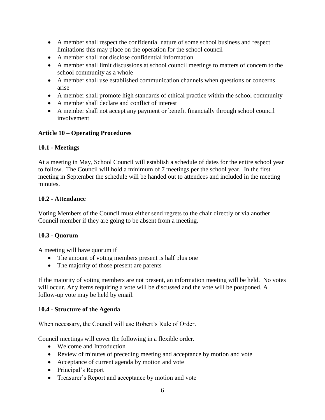- A member shall respect the confidential nature of some school business and respect limitations this may place on the operation for the school council
- A member shall not disclose confidential information
- A member shall limit discussions at school council meetings to matters of concern to the school community as a whole
- A member shall use established communication channels when questions or concerns arise
- A member shall promote high standards of ethical practice within the school community
- A member shall declare and conflict of interest
- A member shall not accept any payment or benefit financially through school council involvement

## **Article 10 – Operating Procedures**

#### **10.1 - Meetings**

At a meeting in May, School Council will establish a schedule of dates for the entire school year to follow. The Council will hold a minimum of 7 meetings per the school year. In the first meeting in September the schedule will be handed out to attendees and included in the meeting minutes.

#### **10.2 - Attendance**

Voting Members of the Council must either send regrets to the chair directly or via another Council member if they are going to be absent from a meeting.

#### **10.3 - Quorum**

A meeting will have quorum if

- The amount of voting members present is half plus one
- The majority of those present are parents

If the majority of voting members are not present, an information meeting will be held. No votes will occur. Any items requiring a vote will be discussed and the vote will be postponed. A follow-up vote may be held by email.

#### **10.4 - Structure of the Agenda**

When necessary, the Council will use Robert's Rule of Order.

Council meetings will cover the following in a flexible order.

- Welcome and Introduction
- Review of minutes of preceding meeting and acceptance by motion and vote
- Acceptance of current agenda by motion and vote
- Principal's Report
- Treasurer's Report and acceptance by motion and vote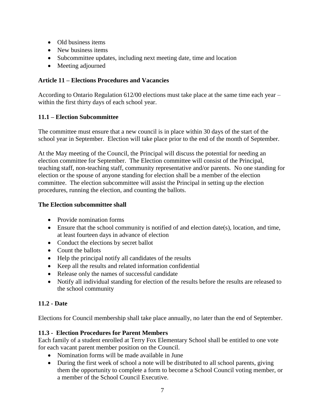- Old business items
- New business items
- Subcommittee updates, including next meeting date, time and location
- Meeting adjourned

## **Article 11 – Elections Procedures and Vacancies**

According to Ontario Regulation 612/00 elections must take place at the same time each year – within the first thirty days of each school year.

#### **11.1 – Election Subcommittee**

The committee must ensure that a new council is in place within 30 days of the start of the school year in September. Election will take place prior to the end of the month of September.

At the May meeting of the Council, the Principal will discuss the potential for needing an election committee for September. The Election committee will consist of the Principal, teaching staff, non-teaching staff, community representative and/or parents. No one standing for election or the spouse of anyone standing for election shall be a member of the election committee. The election subcommittee will assist the Principal in setting up the election procedures, running the election, and counting the ballots.

#### **The Election subcommittee shall**

- Provide nomination forms
- Ensure that the school community is notified of and election date(s), location, and time, at least fourteen days in advance of election
- Conduct the elections by secret ballot
- Count the ballots
- Help the principal notify all candidates of the results
- Keep all the results and related information confidential
- Release only the names of successful candidate
- Notify all individual standing for election of the results before the results are released to the school community

## **11.2 - Date**

Elections for Council membership shall take place annually, no later than the end of September.

#### **11.3 - Election Procedures for Parent Members**

Each family of a student enrolled at Terry Fox Elementary School shall be entitled to one vote for each vacant parent member position on the Council.

- Nomination forms will be made available in June
- During the first week of school a note will be distributed to all school parents, giving them the opportunity to complete a form to become a School Council voting member, or a member of the School Council Executive.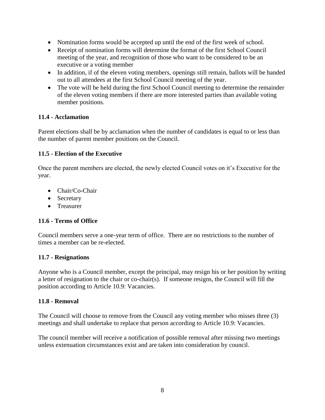- Nomination forms would be accepted up until the end of the first week of school.
- Receipt of nomination forms will determine the format of the first School Council meeting of the year, and recognition of those who want to be considered to be an executive or a voting member
- In addition, if of the eleven voting members, openings still remain, ballots will be handed out to all attendees at the first School Council meeting of the year.
- The vote will be held during the first School Council meeting to determine the remainder of the eleven voting members if there are more interested parties than available voting member positions.

#### **11.4 - Acclamation**

Parent elections shall be by acclamation when the number of candidates is equal to or less than the number of parent member positions on the Council.

#### **11.5 - Election of the Executive**

Once the parent members are elected, the newly elected Council votes on it's Executive for the year.

- Chair/Co-Chair
- Secretary
- **•** Treasurer

#### **11.6 - Terms of Office**

Council members serve a one-year term of office. There are no restrictions to the number of times a member can be re-elected.

#### **11.7 - Resignations**

Anyone who is a Council member, except the principal, may resign his or her position by writing a letter of resignation to the chair or co-chair(s). If someone resigns, the Council will fill the position according to Article 10.9: Vacancies.

#### **11.8 - Removal**

The Council will choose to remove from the Council any voting member who misses three (3) meetings and shall undertake to replace that person according to Article 10.9: Vacancies.

The council member will receive a notification of possible removal after missing two meetings unless extenuation circumstances exist and are taken into consideration by council.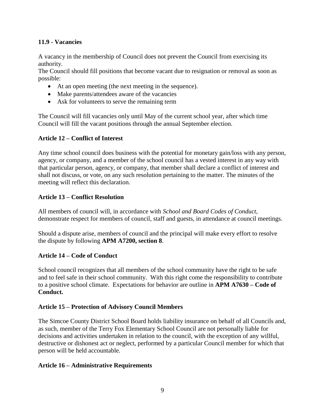#### **11.9 - Vacancies**

A vacancy in the membership of Council does not prevent the Council from exercising its authority.

The Council should fill positions that become vacant due to resignation or removal as soon as possible:

- At an open meeting (the next meeting in the sequence).
- Make parents/attendees aware of the vacancies
- Ask for volunteers to serve the remaining term

The Council will fill vacancies only until May of the current school year, after which time Council will fill the vacant positions through the annual September election.

## **Article 12 – Conflict of Interest**

Any time school council does business with the potential for monetary gain/loss with any person, agency, or company, and a member of the school council has a vested interest in any way with that particular person, agency, or company, that member shall declare a conflict of interest and shall not discuss, or vote, on any such resolution pertaining to the matter. The minutes of the meeting will reflect this declaration.

## **Article 13 – Conflict Resolution**

All members of council will, in accordance with *School and Board Codes of Conduct*, demonstrate respect for members of council, staff and guests, in attendance at council meetings.

Should a dispute arise, members of council and the principal will make every effort to resolve the dispute by following **APM A7200, section 8**.

#### **Article 14 – Code of Conduct**

School council recognizes that all members of the school community have the right to be safe and to feel safe in their school community. With this right come the responsibility to contribute to a positive school climate. Expectations for behavior are outline in **APM A7630 – Code of Conduct.**

#### **Article 15 – Protection of Advisory Council Members**

The Simcoe County District School Board holds liability insurance on behalf of all Councils and, as such, member of the Terry Fox Elementary School Council are not personally liable for decisions and activities undertaken in relation to the council, with the exception of any willful, destructive or dishonest act or neglect, performed by a particular Council member for which that person will be held accountable.

#### **Article 16 – Administrative Requirements**